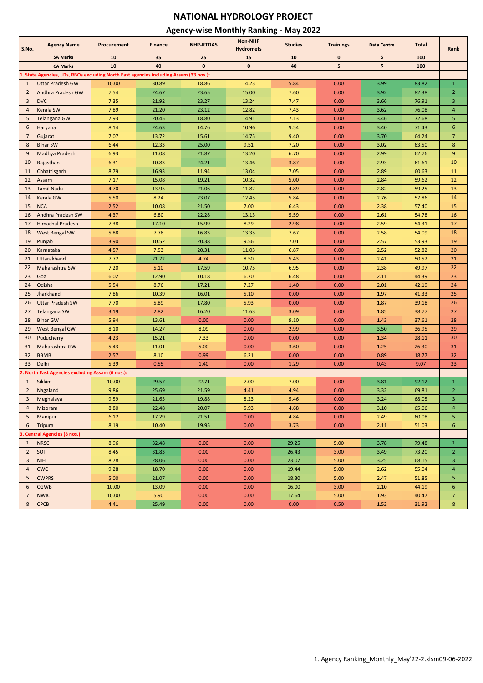## **NATIONAL HYDROLOGY PROJECT**

#### **Agency-wise Monthly Ranking - May 2022**

| S.No.          | <b>Agency Name</b>                                                                    | Procurement | <b>Finance</b> | <b>NHP-RTDAS</b> | <b>Non-NHP</b><br><b>Hydromets</b> | <b>Studies</b> | <b>Trainings</b> | <b>Data Centre</b> | <b>Total</b> | Rank             |
|----------------|---------------------------------------------------------------------------------------|-------------|----------------|------------------|------------------------------------|----------------|------------------|--------------------|--------------|------------------|
|                | <b>SA Marks</b>                                                                       | 10          | 35             | 25               | 15                                 | 10             | $\bf{0}$         | 5                  | 100          |                  |
|                | <b>CA Marks</b>                                                                       | 10          | 40             | $\mathbf{0}$     | $\mathbf{0}$                       | 40             | 5                | 5                  | 100          |                  |
|                | 1. State Agencies, UTs, RBOs excluding North East agencies including Assam (33 nos.): |             |                |                  |                                    |                |                  |                    |              |                  |
| $\mathbf{1}$   | <b>Uttar Pradesh GW</b>                                                               | 10.00       | 30.89          | 18.86            | 14.23                              | 5.84           | 0.00             | 3.99               | 83.82        | $1\,$            |
| $\overline{2}$ | Andhra Pradesh GW                                                                     | 7.54        | 24.67          | 23.65            | 15.00                              | 7.60           | 0.00             | 3.92               | 82.38        | $\overline{2}$   |
| 3              | <b>DVC</b>                                                                            | 7.35        | 21.92          | 23.27            | 13.24                              | 7.47           | 0.00             | 3.66               | 76.91        | 3                |
| $\overline{a}$ | Kerala SW                                                                             | 7.89        | 21.20          | 23.12            | 12.82                              | 7.43           | 0.00             | 3.62               | 76.08        | $\overline{a}$   |
| 5              | Telangana GW                                                                          | 7.93        | 20.45          | 18.80            | 14.91                              | 7.13           | 0.00             | 3.46               | 72.68        | 5                |
| 6              | Haryana                                                                               | 8.14        | 24.63          | 14.76            | 10.96                              | 9.54           | 0.00             | 3.40               | 71.43        | 6                |
| $\overline{7}$ | Gujarat                                                                               | 7.07        | 13.72          | 15.61            | 14.75                              | 9.40           | 0.00             | 3.70               | 64.24        | $\overline{7}$   |
| 8              | <b>Bihar SW</b>                                                                       | 6.44        | 12.33          | 25.00            | 9.51                               | 7.20           | 0.00             | 3.02               | 63.50        | 8                |
| 9              | Madhya Pradesh                                                                        | 6.93        | 11.08          | 21.87            | 13.20                              | 6.70           | 0.00             | 2.99               | 62.76        | 9                |
| 10             | Rajasthan                                                                             | 6.31        | 10.83          | 24.21            | 13.46                              | 3.87           | 0.00             | 2.93               | 61.61        | 10               |
| 11             | Chhattisgarh                                                                          | 8.79        | 16.93          | 11.94            | 13.04                              | 7.05           | 0.00             | 2.89               | 60.63        | 11               |
| 12             | Assam                                                                                 | 7.17        | 15.08          | 19.21            | 10.32                              | 5.00           | 0.00             | 2.84               | 59.62        | 12               |
| 13             | <b>Tamil Nadu</b>                                                                     | 4.70        | 13.95          | 21.06            | 11.82                              | 4.89           | 0.00             | 2.82               | 59.25        | 13               |
| 14             | Kerala GW                                                                             | 5.50        | 8.24           | 23.07            | 12.45                              | 5.84           | 0.00             | 2.76               | 57.86        | 14               |
| 15             | <b>NCA</b>                                                                            | 2.52        | 10.08          | 21.50            | 7.00                               | 6.43           | 0.00             | 2.38               | 57.40        | 15               |
| 16             | Andhra Pradesh SW                                                                     | 4.37        | 6.80           | 22.28            | 13.13                              | 5.59           | 0.00             | 2.61               | 54.78        | 16               |
| 17             | <b>Himachal Pradesh</b>                                                               | 7.38        | 17.10          | 15.99            | 8.29                               | 2.98           | 0.00             | 2.59               | 54.31        | 17               |
| 18             | West Bengal SW                                                                        | 5.88        | 7.78           | 16.83            | 13.35                              | 7.67           | 0.00             | 2.58               | 54.09        | 18               |
| 19             |                                                                                       | 3.90        | 10.52          | 20.38            | 9.56                               | 7.01           | 0.00             | 2.57               | 53.93        | 19               |
| 20             | Punjab<br>Karnataka                                                                   | 4.57        | 7.53           | 20.31            | 11.03                              | 6.87           | 0.00             | 2.52               | 52.82        | 20               |
|                |                                                                                       |             |                |                  |                                    |                |                  |                    |              |                  |
| 21             | Uttarakhand                                                                           | 7.72        | 21.72          | 4.74             | 8.50                               | 5.43           | 0.00             | 2.41               | 50.52        | 21               |
| 22             | Maharashtra SW                                                                        | 7.20        | 5.10           | 17.59            | 10.75                              | 6.95           | 0.00             | 2.38               | 49.97        | 22               |
| 23             | Goa                                                                                   | 6.02        | 12.90          | 10.18            | 6.70                               | 6.48           | 0.00             | 2.11               | 44.39        | 23               |
| 24             | Odisha                                                                                | 5.54        | 8.76           | 17.21            | 7.27                               | 1.40           | 0.00             | 2.01               | 42.19        | 24               |
| 25             | Jharkhand                                                                             | 7.86        | 10.39          | 16.01            | 5.10                               | 0.00           | 0.00             | 1.97               | 41.33        | 25               |
| 26             | <b>Uttar Pradesh SW</b>                                                               | 7.70        | 5.89           | 17.80            | 5.93                               | 0.00           | 0.00             | 1.87               | 39.18        | 26               |
| 27             | Telangana SW                                                                          | 3.19        | 2.82           | 16.20            | 11.63                              | 3.09           | 0.00             | 1.85               | 38.77        | 27               |
| 28             | <b>Bihar GW</b>                                                                       | 5.94        | 13.61          | 0.00             | 0.00                               | 9.10           | 0.00             | 1.43               | 37.61        | 28               |
| 29             | West Bengal GW                                                                        | 8.10        | 14.27          | 8.09             | 0.00                               | 2.99           | 0.00             | 3.50               | 36.95        | 29               |
| 30             | Puducherry                                                                            | 4.23        | 15.21          | 7.33             | 0.00                               | 0.00           | 0.00             | 1.34               | 28.11        | 30               |
| 31             | Maharashtra GW                                                                        | 5.43        | 11.01          | 5.00             | 0.00                               | 3.60           | 0.00             | 1.25               | 26.30        | 31               |
| 32             | <b>BBMB</b>                                                                           | 2.57        | 8.10           | 0.99             | 6.21                               | 0.00           | 0.00             | 0.89               | 18.77        | 32               |
| 33             | Delhi                                                                                 | 5.39        | 0.55           | 1.40             | 0.00                               | 1.29           | 0.00             | 0.43               | 9.07         | 33               |
|                | 2. North East Agencies excluding Assam (6 nos.):                                      |             |                |                  |                                    |                |                  |                    |              |                  |
| $\mathbf{1}$   | <b>Sikkim</b>                                                                         | 10.00       | 29.57          | 22.71            | 7.00                               | 7.00           | 0.00             | 3.81               | 92.12        | $1\,$            |
| $\overline{2}$ | Nagaland                                                                              | 9.86        | 25.69          | 21.59            | 4.41                               | 4.94           | 0.00             | 3.32               | 69.81        | $\overline{2}$   |
| $\overline{3}$ | Meghalaya                                                                             | 9.59        | 21.65          | 19.88            | 8.23                               | 5.46           | 0.00             | 3.24               | 68.05        | 3                |
| $\overline{4}$ | Mizoram                                                                               | 8.80        | 22.48          | 20.07            | 5.93                               | 4.68           | 0.00             | 3.10               | 65.06        | $\overline{4}$   |
| 5              | Manipur                                                                               | 6.12        | 17.29          | 21.51            | 0.00                               | 4.84           | 0.00             | 2.49               | 60.08        | 5                |
| 6              | Tripura                                                                               | 8.19        | 10.40          | 19.95            | 0.00                               | 3.73           | 0.00             | 2.11               | 51.03        | $6\phantom{1}$   |
|                | 3. Central Agencies (8 nos.):                                                         |             |                |                  |                                    |                |                  |                    |              |                  |
| $\mathbf{1}$   | <b>NRSC</b>                                                                           | 8.96        | 32.48          | 0.00             | 0.00                               | 29.25          | 5.00             | 3.78               | 79.48        | $\mathbf{1}$     |
| $\overline{2}$ | SOI                                                                                   | 8.45        | 31.83          | 0.00             | 0.00                               | 26.43          | 3.00             | 3.49               | 73.20        | $\overline{2}$   |
| 3              | <b>NIH</b>                                                                            | 8.78        | 28.06          | 0.00             | 0.00                               | 23.07          | 5.00             | 3.25               | 68.15        | 3                |
| $\overline{a}$ | <b>CWC</b>                                                                            | 9.28        | 18.70          | 0.00             | 0.00                               | 19.44          | 5.00             | 2.62               | 55.04        | $\overline{4}$   |
| 5              | <b>CWPRS</b>                                                                          | 5.00        | 21.07          | 0.00             | 0.00                               | 18.30          | 5.00             | 2.47               | 51.85        | 5                |
| 6              | <b>CGWB</b>                                                                           | 10.00       | 13.09          | 0.00             | 0.00                               | 16.00          | 3.00             | 2.10               | 44.19        | $\boldsymbol{6}$ |
| $\overline{7}$ | <b>NWIC</b>                                                                           | 10.00       | 5.90           | 0.00             | 0.00                               | 17.64          | 5.00             | 1.93               | 40.47        | $\overline{7}$   |
| 8              | <b>CPCB</b>                                                                           | 4.41        | 25.49          | 0.00             | 0.00                               | 0.00           | 0.50             | 1.52               | 31.92        | 8                |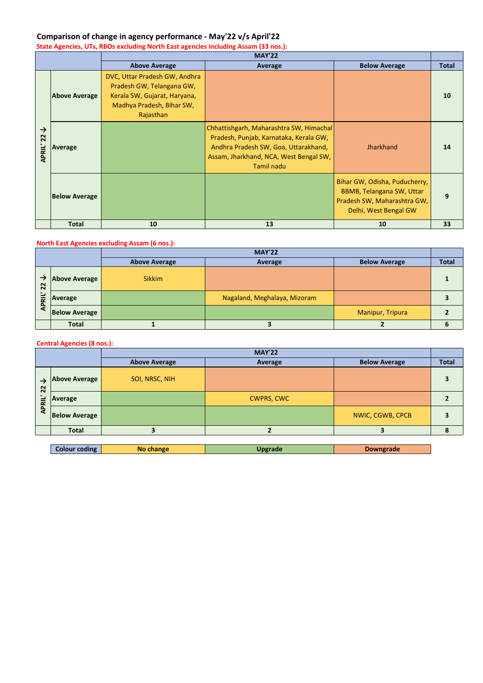## **Comparison of change in agency performance - May'22 v/s April'22**

**State Agencies, UTs, RBOs excluding North East agencies including Assam (33 nos.):**

|                          |                      | <b>MAY'22</b>                                                                                                                        |                                                                                                                                                                                   |                                                                                                                    |              |  |
|--------------------------|----------------------|--------------------------------------------------------------------------------------------------------------------------------------|-----------------------------------------------------------------------------------------------------------------------------------------------------------------------------------|--------------------------------------------------------------------------------------------------------------------|--------------|--|
|                          |                      | <b>Above Average</b>                                                                                                                 | Average                                                                                                                                                                           | <b>Below Average</b>                                                                                               | <b>Total</b> |  |
| →<br>22<br><b>APRIL'</b> | <b>Above Average</b> | DVC, Uttar Pradesh GW, Andhra<br>Pradesh GW, Telangana GW,<br>Kerala SW, Gujarat, Haryana,<br>Madhya Pradesh, Bihar SW,<br>Rajasthan |                                                                                                                                                                                   |                                                                                                                    | 10           |  |
|                          | Average              |                                                                                                                                      | Chhattishgarh, Maharashtra SW, Himachal<br>Pradesh, Punjab, Karnataka, Kerala GW,<br>Andhra Pradesh SW, Goa, Uttarakhand,<br>Assam, Jharkhand, NCA, West Bengal SW,<br>Tamil nadu | <b>Jharkhand</b>                                                                                                   | 14           |  |
|                          | <b>Below Average</b> |                                                                                                                                      |                                                                                                                                                                                   | Bihar GW, Odisha, Puducherry,<br>BBMB, Telangana SW, Uttar<br>Pradesh SW, Maharashtra GW,<br>Delhi, West Bengal GW | 9            |  |
|                          | <b>Total</b>         | 10                                                                                                                                   | 13                                                                                                                                                                                | 10                                                                                                                 | 33           |  |

#### **North East Agencies excluding Assam (6 nos.):**

|                               |                      | <b>MAY'22</b>        |                              |                         |              |  |
|-------------------------------|----------------------|----------------------|------------------------------|-------------------------|--------------|--|
|                               |                      | <b>Above Average</b> | Average                      | <b>Below Average</b>    | <b>Total</b> |  |
| →<br>$\overline{2}$<br>ᇎ<br>o | Above Average        | <b>Sikkim</b>        |                              |                         |              |  |
|                               | Average              |                      | Nagaland, Meghalaya, Mizoram |                         |              |  |
|                               | <b>Below Average</b> |                      |                              | <b>Manipur, Tripura</b> |              |  |
|                               | <b>Total</b>         |                      |                              |                         |              |  |

#### **Central Agencies (8 nos.):**

|                         |                      |                                 | <b>MAY'22</b>     |                         |              |
|-------------------------|----------------------|---------------------------------|-------------------|-------------------------|--------------|
|                         |                      | <b>Above Average</b><br>Average |                   | <b>Below Average</b>    | <b>Total</b> |
| 22<br>긑<br>$\mathbf{a}$ | <b>Above Average</b> | SOI, NRSC, NIH                  |                   |                         |              |
|                         | Average              |                                 | <b>CWPRS, CWC</b> |                         |              |
|                         | <b>Below Average</b> |                                 |                   | <b>NWIC, CGWB, CPCB</b> |              |
|                         | <b>Total</b>         |                                 |                   |                         |              |

| Colour coding | change<br>Nο | Ingrade | owngrade |
|---------------|--------------|---------|----------|